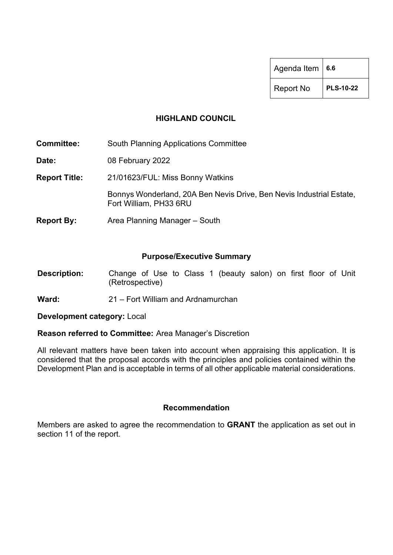| Agenda Item $\vert$ 6.6 |                  |  |  |
|-------------------------|------------------|--|--|
| <b>Report No</b>        | <b>PLS-10-22</b> |  |  |

#### **HIGHLAND COUNCIL**

**Committee:** South Planning Applications Committee

**Date:** 08 February 2022

**Report Title:** 21/01623/FUL: Miss Bonny Watkins

Bonnys Wonderland, 20A Ben Nevis Drive, Ben Nevis Industrial Estate, Fort William, PH33 6RU

**Report By:** Area Planning Manager – South

#### **Purpose/Executive Summary**

- **Description:** Change of Use to Class 1 (beauty salon) on first floor of Unit (Retrospective)
- **Ward:** 21 Fort William and Ardnamurchan

**Development category:** Local

#### **Reason referred to Committee:** Area Manager's Discretion

All relevant matters have been taken into account when appraising this application. It is considered that the proposal accords with the principles and policies contained within the Development Plan and is acceptable in terms of all other applicable material considerations.

#### **Recommendation**

Members are asked to agree the recommendation to **GRANT** the application as set out in section 11 of the report.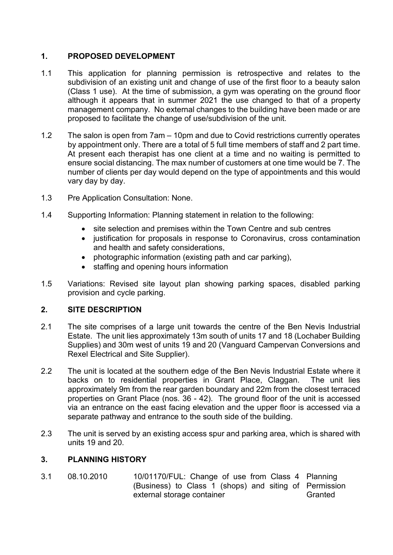# **1. PROPOSED DEVELOPMENT**

- 1.1 This application for planning permission is retrospective and relates to the subdivision of an existing unit and change of use of the first floor to a beauty salon (Class 1 use). At the time of submission, a gym was operating on the ground floor although it appears that in summer 2021 the use changed to that of a property management company. No external changes to the building have been made or are proposed to facilitate the change of use/subdivision of the unit.
- 1.2 The salon is open from 7am 10pm and due to Covid restrictions currently operates by appointment only. There are a total of 5 full time members of staff and 2 part time. At present each therapist has one client at a time and no waiting is permitted to ensure social distancing. The max number of customers at one time would be 7. The number of clients per day would depend on the type of appointments and this would vary day by day.
- 1.3 Pre Application Consultation: None.
- 1.4 Supporting Information: Planning statement in relation to the following:
	- site selection and premises within the Town Centre and sub centres
	- justification for proposals in response to Coronavirus, cross contamination and health and safety considerations,
	- photographic information (existing path and car parking),
	- staffing and opening hours information
- 1.5 Variations: Revised site layout plan showing parking spaces, disabled parking provision and cycle parking.

## **2. SITE DESCRIPTION**

- 2.1 The site comprises of a large unit towards the centre of the Ben Nevis Industrial Estate. The unit lies approximately 13m south of units 17 and 18 (Lochaber Building Supplies) and 30m west of units 19 and 20 (Vanguard Campervan Conversions and Rexel Electrical and Site Supplier).
- 2.2 The unit is located at the southern edge of the Ben Nevis Industrial Estate where it backs on to residential properties in Grant Place, Claggan. The unit lies approximately 9m from the rear garden boundary and 22m from the closest terraced properties on Grant Place (nos. 36 - 42). The ground floor of the unit is accessed via an entrance on the east facing elevation and the upper floor is accessed via a separate pathway and entrance to the south side of the building.
- 2.3 The unit is served by an existing access spur and parking area, which is shared with units 19 and 20.

# **3. PLANNING HISTORY**

3.1 08.10.2010 10/01170/FUL: Change of use from Class 4 Planning (Business) to Class 1 (shops) and siting of Permission external storage container **Granted**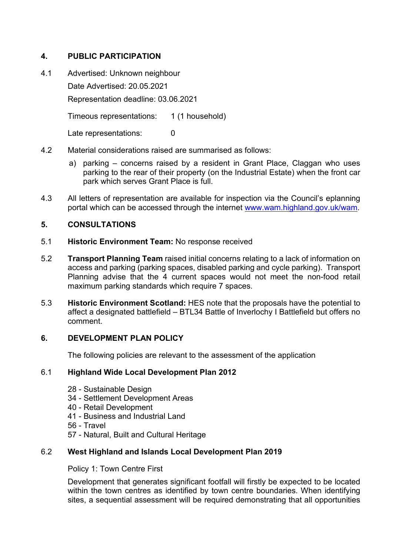# **4. PUBLIC PARTICIPATION**

4.1 Advertised: Unknown neighbour Date Advertised: 20.05.2021 Representation deadline: 03.06.2021

Timeous representations: 1 (1 household)

Late representations: 0

- 4.2 Material considerations raised are summarised as follows:
	- a) parking concerns raised by a resident in Grant Place, Claggan who uses parking to the rear of their property (on the Industrial Estate) when the front car park which serves Grant Place is full.
- 4.3 All letters of representation are available for inspection via the Council's eplanning portal which can be accessed through the internet [www.wam.highland.gov.uk/wam.](http://wam.highland.gov.uk/wam/)

### **5. CONSULTATIONS**

- 5.1 **Historic Environment Team:** No response received
- 5.2 **Transport Planning Team** raised initial concerns relating to a lack of information on access and parking (parking spaces, disabled parking and cycle parking). Transport Planning advise that the 4 current spaces would not meet the non-food retail maximum parking standards which require 7 spaces.
- 5.3 **Historic Environment Scotland:** HES note that the proposals have the potential to affect a designated battlefield – BTL34 Battle of Inverlochy I Battlefield but offers no comment.

#### **6. DEVELOPMENT PLAN POLICY**

The following policies are relevant to the assessment of the application

#### 6.1 **Highland Wide Local Development Plan 2012**

- 28 Sustainable Design
- 34 Settlement Development Areas
- 40 Retail Development
- 41 Business and Industrial Land
- 56 Travel
- 57 Natural, Built and Cultural Heritage

#### 6.2 **West Highland and Islands Local Development Plan 2019**

Policy 1: Town Centre First

Development that generates significant footfall will firstly be expected to be located within the town centres as identified by town centre boundaries. When identifying sites, a sequential assessment will be required demonstrating that all opportunities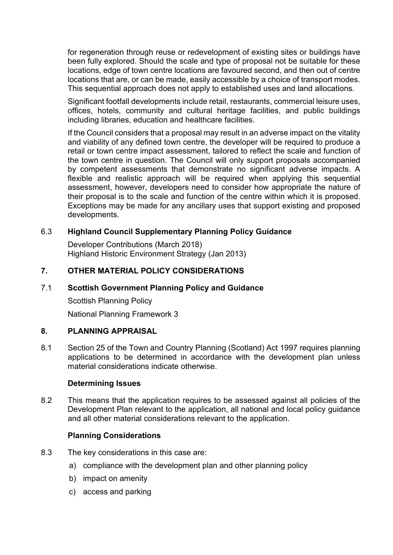for regeneration through reuse or redevelopment of existing sites or buildings have been fully explored. Should the scale and type of proposal not be suitable for these locations, edge of town centre locations are favoured second, and then out of centre locations that are, or can be made, easily accessible by a choice of transport modes. This sequential approach does not apply to established uses and land allocations.

Significant footfall developments include retail, restaurants, commercial leisure uses, offices, hotels, community and cultural heritage facilities, and public buildings including libraries, education and healthcare facilities.

If the Council considers that a proposal may result in an adverse impact on the vitality and viability of any defined town centre, the developer will be required to produce a retail or town centre impact assessment, tailored to reflect the scale and function of the town centre in question. The Council will only support proposals accompanied by competent assessments that demonstrate no significant adverse impacts. A flexible and realistic approach will be required when applying this sequential assessment, however, developers need to consider how appropriate the nature of their proposal is to the scale and function of the centre within which it is proposed. Exceptions may be made for any ancillary uses that support existing and proposed developments.

### 6.3 **Highland Council Supplementary Planning Policy Guidance**

Developer Contributions (March 2018) Highland Historic Environment Strategy (Jan 2013)

### **7. OTHER MATERIAL POLICY CONSIDERATIONS**

#### 7.1 **Scottish Government Planning Policy and Guidance**

Scottish Planning Policy National Planning Framework 3

### **8. PLANNING APPRAISAL**

8.1 Section 25 of the Town and Country Planning (Scotland) Act 1997 requires planning applications to be determined in accordance with the development plan unless material considerations indicate otherwise.

#### **Determining Issues**

8.2 This means that the application requires to be assessed against all policies of the Development Plan relevant to the application, all national and local policy guidance and all other material considerations relevant to the application.

#### **Planning Considerations**

- 8.3 The key considerations in this case are:
	- a) compliance with the development plan and other planning policy
	- b) impact on amenity
	- c) access and parking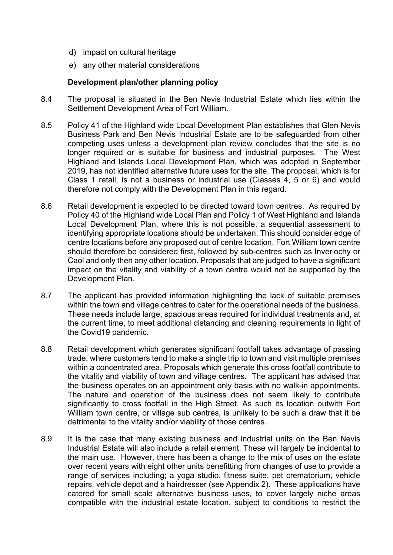- d) impact on cultural heritage
- e) any other material considerations

#### **Development plan/other planning policy**

- 8.4 The proposal is situated in the Ben Nevis Industrial Estate which lies within the Settlement Development Area of Fort William.
- 8.5 Policy 41 of the Highland wide Local Development Plan establishes that Glen Nevis Business Park and Ben Nevis Industrial Estate are to be safeguarded from other competing uses unless a development plan review concludes that the site is no longer required or is suitable for business and industrial purposes. The West Highland and Islands Local Development Plan, which was adopted in September 2019, has not identified alternative future uses for the site. The proposal, which is for Class 1 retail, is not a business or industrial use (Classes 4, 5 or 6) and would therefore not comply with the Development Plan in this regard.
- 8.6 Retail development is expected to be directed toward town centres. As required by Policy 40 of the Highland wide Local Plan and Policy 1 of West Highland and Islands Local Development Plan, where this is not possible, a sequential assessment to identifying appropriate locations should be undertaken. This should consider edge of centre locations before any proposed out of centre location. Fort William town centre should therefore be considered first, followed by sub-centres such as Inverlochy or Caol and only then any other location. Proposals that are judged to have a significant impact on the vitality and viability of a town centre would not be supported by the Development Plan.
- 8.7 The applicant has provided information highlighting the lack of suitable premises within the town and village centres to cater for the operational needs of the business. These needs include large, spacious areas required for individual treatments and, at the current time, to meet additional distancing and cleaning requirements in light of the Covid19 pandemic.
- 8.8 Retail development which generates significant footfall takes advantage of passing trade, where customers tend to make a single trip to town and visit multiple premises within a concentrated area. Proposals which generate this cross footfall contribute to the vitality and viability of town and village centres. The applicant has advised that the business operates on an appointment only basis with no walk-in appointments. The nature and operation of the business does not seem likely to contribute significantly to cross footfall in the High Street. As such its location outwith Fort William town centre, or village sub centres, is unlikely to be such a draw that it be detrimental to the vitality and/or viability of those centres.
- 8.9 It is the case that many existing business and industrial units on the Ben Nevis Industrial Estate will also include a retail element. These will largely be incidental to the main use. However, there has been a change to the mix of uses on the estate over recent years with eight other units benefitting from changes of use to provide a range of services including; a yoga studio, fitness suite, pet crematorium, vehicle repairs, vehicle depot and a hairdresser (see Appendix 2). These applications have catered for small scale alternative business uses, to cover largely niche areas compatible with the industrial estate location, subject to conditions to restrict the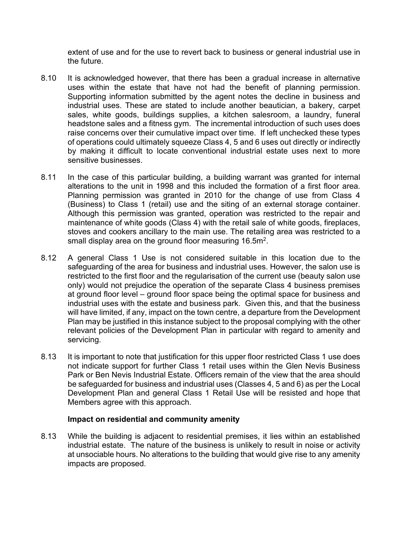extent of use and for the use to revert back to business or general industrial use in the future.

- 8.10 It is acknowledged however, that there has been a gradual increase in alternative uses within the estate that have not had the benefit of planning permission. Supporting information submitted by the agent notes the decline in business and industrial uses. These are stated to include another beautician, a bakery, carpet sales, white goods, buildings supplies, a kitchen salesroom, a laundry, funeral headstone sales and a fitness gym. The incremental introduction of such uses does raise concerns over their cumulative impact over time. If left unchecked these types of operations could ultimately squeeze Class 4, 5 and 6 uses out directly or indirectly by making it difficult to locate conventional industrial estate uses next to more sensitive businesses.
- 8.11 In the case of this particular building, a building warrant was granted for internal alterations to the unit in 1998 and this included the formation of a first floor area. Planning permission was granted in 2010 for the change of use from Class 4 (Business) to Class 1 (retail) use and the siting of an external storage container. Although this permission was granted, operation was restricted to the repair and maintenance of white goods (Class 4) with the retail sale of white goods, fireplaces, stoves and cookers ancillary to the main use. The retailing area was restricted to a small display area on the ground floor measuring 16.5m<sup>2</sup>.
- 8.12 A general Class 1 Use is not considered suitable in this location due to the safeguarding of the area for business and industrial uses. However, the salon use is restricted to the first floor and the regularisation of the current use (beauty salon use only) would not prejudice the operation of the separate Class 4 business premises at ground floor level – ground floor space being the optimal space for business and industrial uses with the estate and business park. Given this, and that the business will have limited, if any, impact on the town centre, a departure from the Development Plan may be justified in this instance subject to the proposal complying with the other relevant policies of the Development Plan in particular with regard to amenity and servicing.
- 8.13 It is important to note that justification for this upper floor restricted Class 1 use does not indicate support for further Class 1 retail uses within the Glen Nevis Business Park or Ben Nevis Industrial Estate. Officers remain of the view that the area should be safeguarded for business and industrial uses (Classes 4, 5 and 6) as per the Local Development Plan and general Class 1 Retail Use will be resisted and hope that Members agree with this approach.

#### **Impact on residential and community amenity**

8.13 While the building is adjacent to residential premises, it lies within an established industrial estate. The nature of the business is unlikely to result in noise or activity at unsociable hours. No alterations to the building that would give rise to any amenity impacts are proposed.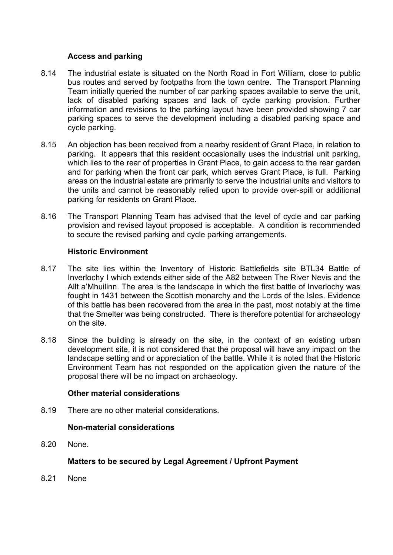### **Access and parking**

- 8.14 The industrial estate is situated on the North Road in Fort William, close to public bus routes and served by footpaths from the town centre. The Transport Planning Team initially queried the number of car parking spaces available to serve the unit, lack of disabled parking spaces and lack of cycle parking provision. Further information and revisions to the parking layout have been provided showing 7 car parking spaces to serve the development including a disabled parking space and cycle parking.
- 8.15 An objection has been received from a nearby resident of Grant Place, in relation to parking. It appears that this resident occasionally uses the industrial unit parking, which lies to the rear of properties in Grant Place, to gain access to the rear garden and for parking when the front car park, which serves Grant Place, is full. Parking areas on the industrial estate are primarily to serve the industrial units and visitors to the units and cannot be reasonably relied upon to provide over-spill or additional parking for residents on Grant Place.
- 8.16 The Transport Planning Team has advised that the level of cycle and car parking provision and revised layout proposed is acceptable. A condition is recommended to secure the revised parking and cycle parking arrangements.

### **Historic Environment**

- 8.17 The site lies within the Inventory of Historic Battlefields site BTL34 Battle of Inverlochy I which extends either side of the A82 between The River Nevis and the Allt a'Mhuilinn. The area is the landscape in which the first battle of Inverlochy was fought in 1431 between the Scottish monarchy and the Lords of the Isles. Evidence of this battle has been recovered from the area in the past, most notably at the time that the Smelter was being constructed. There is therefore potential for archaeology on the site.
- 8.18 Since the building is already on the site, in the context of an existing urban development site, it is not considered that the proposal will have any impact on the landscape setting and or appreciation of the battle. While it is noted that the Historic Environment Team has not responded on the application given the nature of the proposal there will be no impact on archaeology.

#### **Other material considerations**

8.19 There are no other material considerations.

#### **Non-material considerations**

8.20 None.

## **Matters to be secured by Legal Agreement / Upfront Payment**

8.21 None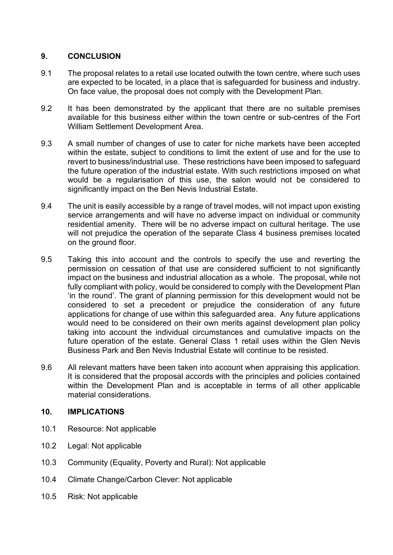# **9. CONCLUSION**

- 9.1 The proposal relates to a retail use located outwith the town centre, where such uses are expected to be located, in a place that is safeguarded for business and industry. On face value, the proposal does not comply with the Development Plan.
- 9.2 It has been demonstrated by the applicant that there are no suitable premises available for this business either within the town centre or sub-centres of the Fort William Settlement Development Area.
- 9.3 A small number of changes of use to cater for niche markets have been accepted within the estate, subject to conditions to limit the extent of use and for the use to revert to business/industrial use. These restrictions have been imposed to safeguard the future operation of the industrial estate. With such restrictions imposed on what would be a regularisation of this use, the salon would not be considered to significantly impact on the Ben Nevis Industrial Estate.
- 9.4 The unit is easily accessible by a range of travel modes, will not impact upon existing service arrangements and will have no adverse impact on individual or community residential amenity. There will be no adverse impact on cultural heritage. The use will not prejudice the operation of the separate Class 4 business premises located on the ground floor.
- 9.5 Taking this into account and the controls to specify the use and reverting the permission on cessation of that use are considered sufficient to not significantly impact on the business and industrial allocation as a whole. The proposal, while not fully compliant with policy, would be considered to comply with the Development Plan 'in the round'. The grant of planning permission for this development would not be considered to set a precedent or prejudice the consideration of any future applications for change of use within this safeguarded area. Any future applications would need to be considered on their own merits against development plan policy taking into account the individual circumstances and cumulative impacts on the future operation of the estate. General Class 1 retail uses within the Glen Nevis Business Park and Ben Nevis Industrial Estate will continue to be resisted.
- 9.6 All relevant matters have been taken into account when appraising this application. It is considered that the proposal accords with the principles and policies contained within the Development Plan and is acceptable in terms of all other applicable material considerations.

## **10. IMPLICATIONS**

- 10.1 Resource: Not applicable
- 10.2 Legal: Not applicable
- 10.3 Community (Equality, Poverty and Rural): Not applicable
- 10.4 Climate Change/Carbon Clever: Not applicable
- 10.5 Risk: Not applicable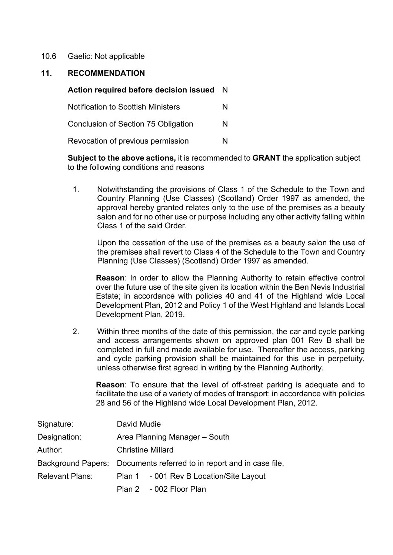10.6 Gaelic: Not applicable

#### **11. RECOMMENDATION**

| Action required before decision issued     | N |
|--------------------------------------------|---|
| <b>Notification to Scottish Ministers</b>  | N |
| <b>Conclusion of Section 75 Obligation</b> | N |
| Revocation of previous permission          | N |

**Subject to the above actions,** it is recommended to **GRANT** the application subject to the following conditions and reasons

1. Notwithstanding the provisions of Class 1 of the Schedule to the Town and Country Planning (Use Classes) (Scotland) Order 1997 as amended, the approval hereby granted relates only to the use of the premises as a beauty salon and for no other use or purpose including any other activity falling within Class 1 of the said Order.

Upon the cessation of the use of the premises as a beauty salon the use of the premises shall revert to Class 4 of the Schedule to the Town and Country Planning (Use Classes) (Scotland) Order 1997 as amended.

**Reason**: In order to allow the Planning Authority to retain effective control over the future use of the site given its location within the Ben Nevis Industrial Estate; in accordance with policies 40 and 41 of the Highland wide Local Development Plan, 2012 and Policy 1 of the West Highland and Islands Local Development Plan, 2019.

2. Within three months of the date of this permission, the car and cycle parking and access arrangements shown on approved plan 001 Rev B shall be completed in full and made available for use. Thereafter the access, parking and cycle parking provision shall be maintained for this use in perpetuity, unless otherwise first agreed in writing by the Planning Authority.

**Reason**: To ensure that the level of off-street parking is adequate and to facilitate the use of a variety of modes of transport; in accordance with policies 28 and 56 of the Highland wide Local Development Plan, 2012.

| Signature:             | David Mudie                                                          |                                         |  |  |
|------------------------|----------------------------------------------------------------------|-----------------------------------------|--|--|
| Designation:           | Area Planning Manager – South                                        |                                         |  |  |
| Author:                | <b>Christine Millard</b>                                             |                                         |  |  |
|                        | Background Papers: Documents referred to in report and in case file. |                                         |  |  |
| <b>Relevant Plans:</b> |                                                                      | Plan 1 - 001 Rev B Location/Site Layout |  |  |
|                        |                                                                      | Plan 2 - 002 Floor Plan                 |  |  |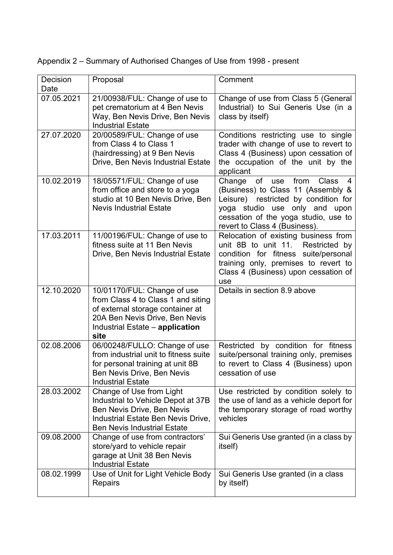| Decision<br>Date | Proposal                                                                                                                                                                           | Comment                                                                                                                                                                                                                          |
|------------------|------------------------------------------------------------------------------------------------------------------------------------------------------------------------------------|----------------------------------------------------------------------------------------------------------------------------------------------------------------------------------------------------------------------------------|
| 07.05.2021       | 21/00938/FUL: Change of use to<br>pet crematorium at 4 Ben Nevis<br>Way, Ben Nevis Drive, Ben Nevis<br><b>Industrial Estate</b>                                                    | Change of use from Class 5 (General<br>Industrial) to Sui Generis Use (in a<br>class by itself)                                                                                                                                  |
| 27.07.2020       | 20/00589/FUL: Change of use<br>from Class 4 to Class 1<br>(hairdressing) at 9 Ben Nevis<br>Drive, Ben Nevis Industrial Estate                                                      | Conditions restricting use to single<br>trader with change of use to revert to<br>Class 4 (Business) upon cessation of<br>the occupation of the unit by the<br>applicant                                                         |
| 10.02.2019       | 18/05571/FUL: Change of use<br>from office and store to a yoga<br>studio at 10 Ben Nevis Drive, Ben<br><b>Nevis Industrial Estate</b>                                              | Change of<br>from<br><b>Class</b><br>use<br>(Business) to Class 11 (Assembly &<br>Leisure) restricted by condition for<br>yoga studio use only and upon<br>cessation of the yoga studio, use to<br>revert to Class 4 (Business). |
| 17.03.2011       | 11/00196/FUL: Change of use to<br>fitness suite at 11 Ben Nevis<br>Drive, Ben Nevis Industrial Estate                                                                              | Relocation of existing business from<br>unit 8B to unit 11.<br>Restricted by<br>condition for fitness suite/personal<br>training only, premises to revert to<br>Class 4 (Business) upon cessation of<br>use                      |
| 12.10.2020       | 10/01170/FUL: Change of use<br>from Class 4 to Class 1 and siting<br>of external storage container at<br>20A Ben Nevis Drive, Ben Nevis<br>Industrial Estate - application<br>site | Details in section 8.9 above                                                                                                                                                                                                     |
| 02.08.2006       | 06/00248/FULLO: Change of use<br>from industrial unit to fitness suite<br>for personal training at unit 8B<br>Ben Nevis Drive, Ben Nevis<br><b>Industrial Estate</b>               | Restricted by condition for fitness<br>suite/personal training only, premises<br>to revert to Class 4 (Business) upon<br>cessation of use                                                                                        |
| 28.03.2002       | Change of Use from Light<br>Industrial to Vehicle Depot at 37B<br>Ben Nevis Drive, Ben Nevis<br>Industrial Estate Ben Nevis Drive,<br><b>Ben Nevis Industrial Estate</b>           | Use restricted by condition solely to<br>the use of land as a vehicle deport for<br>the temporary storage of road worthy<br>vehicles                                                                                             |
| 09.08.2000       | Change of use from contractors'<br>store/yard to vehicle repair<br>garage at Unit 38 Ben Nevis<br><b>Industrial Estate</b>                                                         | Sui Generis Use granted (in a class by<br>itself)                                                                                                                                                                                |
| 08.02.1999       | Use of Unit for Light Vehicle Body<br>Repairs                                                                                                                                      | Sui Generis Use granted (in a class<br>by itself)                                                                                                                                                                                |

Appendix 2 – Summary of Authorised Changes of Use from 1998 - present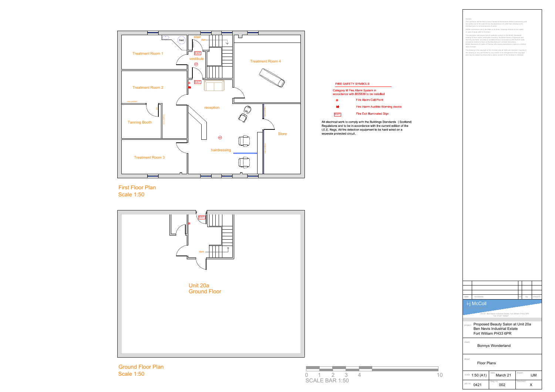

First Floor Plan



Ground Floor Plan

| <b>FIRE SAFETY SYMBOLS</b>                                                |                                   |  |  |  |
|---------------------------------------------------------------------------|-----------------------------------|--|--|--|
| Category M Fire Alarm System in<br>accordance with BS5839 to be installed |                                   |  |  |  |
| (⊙)                                                                       | <b>Fire Alarm Call Point</b>      |  |  |  |
| $\blacksquare$                                                            | Fire Alarm Audible Warning device |  |  |  |
|                                                                           | <b>Fire Exit Illuminated Sign</b> |  |  |  |

|                       |                             |                                                                                                                                                                                                                 |    | <b>NOTES</b><br>Architect prior to commencement of works.<br>In case of doubt refer to Architect.<br>date of tender. | The contractor will be held to have checked all dimensions before commencing with<br>any works and in the event of any discrepancies is to refer them directly to the<br>Written dimensions are to be taken at all times. Drawings should not be scaled.<br>The contractor will ensure that all materials conform to the British Standards<br>relating to them and/or certificates issued by the British Board of Agrement and<br>that they are fixed, mounted or installed strictly in accordance with the B.S Code<br>of practice relative to them or the Manufacturer's printed instructions.<br>British Standards & Codes of Practice will include amendments made on or before<br>The drawing is the copyright of the Architect and all rights are reserved. Copying of<br>this drawing or any part thereof by any means is an infringement of the copyright<br>and may be subject to prosecutions unless consent of the Architect is obtained. |          |            |
|-----------------------|-----------------------------|-----------------------------------------------------------------------------------------------------------------------------------------------------------------------------------------------------------------|----|----------------------------------------------------------------------------------------------------------------------|------------------------------------------------------------------------------------------------------------------------------------------------------------------------------------------------------------------------------------------------------------------------------------------------------------------------------------------------------------------------------------------------------------------------------------------------------------------------------------------------------------------------------------------------------------------------------------------------------------------------------------------------------------------------------------------------------------------------------------------------------------------------------------------------------------------------------------------------------------------------------------------------------------------------------------------------------|----------|------------|
|                       |                             |                                                                                                                                                                                                                 |    |                                                                                                                      |                                                                                                                                                                                                                                                                                                                                                                                                                                                                                                                                                                                                                                                                                                                                                                                                                                                                                                                                                      |          |            |
|                       |                             |                                                                                                                                                                                                                 |    |                                                                                                                      |                                                                                                                                                                                                                                                                                                                                                                                                                                                                                                                                                                                                                                                                                                                                                                                                                                                                                                                                                      |          |            |
|                       | <b>FIRE SAFETY SYMBOLS</b>  |                                                                                                                                                                                                                 |    |                                                                                                                      |                                                                                                                                                                                                                                                                                                                                                                                                                                                                                                                                                                                                                                                                                                                                                                                                                                                                                                                                                      |          |            |
|                       |                             | <b>Category M Fire Alarm System in</b>                                                                                                                                                                          |    |                                                                                                                      |                                                                                                                                                                                                                                                                                                                                                                                                                                                                                                                                                                                                                                                                                                                                                                                                                                                                                                                                                      |          |            |
|                       | $\circledcirc$              | accordance with BS5839 to be installed<br><b>Fire Alarm Call Point</b>                                                                                                                                          |    |                                                                                                                      |                                                                                                                                                                                                                                                                                                                                                                                                                                                                                                                                                                                                                                                                                                                                                                                                                                                                                                                                                      |          |            |
|                       | H.                          | Fire Alarm Audible Warning device                                                                                                                                                                               |    |                                                                                                                      |                                                                                                                                                                                                                                                                                                                                                                                                                                                                                                                                                                                                                                                                                                                                                                                                                                                                                                                                                      |          |            |
|                       | <b>EXIT</b>                 | <b>Fire Exit Illuminated Sign</b>                                                                                                                                                                               |    |                                                                                                                      |                                                                                                                                                                                                                                                                                                                                                                                                                                                                                                                                                                                                                                                                                                                                                                                                                                                                                                                                                      |          |            |
|                       | seperate protected circuit. | All electrical work to comply with the Buildings Standards (Scotland)<br>Regulations and to be in accordance with the current edition of the<br>I.E.E. Regs. All fire detection equipment to be hard wired on a |    |                                                                                                                      |                                                                                                                                                                                                                                                                                                                                                                                                                                                                                                                                                                                                                                                                                                                                                                                                                                                                                                                                                      |          |            |
|                       |                             |                                                                                                                                                                                                                 |    |                                                                                                                      |                                                                                                                                                                                                                                                                                                                                                                                                                                                                                                                                                                                                                                                                                                                                                                                                                                                                                                                                                      |          |            |
|                       |                             |                                                                                                                                                                                                                 |    |                                                                                                                      |                                                                                                                                                                                                                                                                                                                                                                                                                                                                                                                                                                                                                                                                                                                                                                                                                                                                                                                                                      |          |            |
|                       |                             |                                                                                                                                                                                                                 |    |                                                                                                                      |                                                                                                                                                                                                                                                                                                                                                                                                                                                                                                                                                                                                                                                                                                                                                                                                                                                                                                                                                      |          |            |
|                       |                             |                                                                                                                                                                                                                 |    |                                                                                                                      |                                                                                                                                                                                                                                                                                                                                                                                                                                                                                                                                                                                                                                                                                                                                                                                                                                                                                                                                                      |          |            |
|                       |                             |                                                                                                                                                                                                                 |    |                                                                                                                      |                                                                                                                                                                                                                                                                                                                                                                                                                                                                                                                                                                                                                                                                                                                                                                                                                                                                                                                                                      |          |            |
|                       |                             |                                                                                                                                                                                                                 |    |                                                                                                                      |                                                                                                                                                                                                                                                                                                                                                                                                                                                                                                                                                                                                                                                                                                                                                                                                                                                                                                                                                      |          |            |
|                       |                             |                                                                                                                                                                                                                 |    |                                                                                                                      |                                                                                                                                                                                                                                                                                                                                                                                                                                                                                                                                                                                                                                                                                                                                                                                                                                                                                                                                                      |          |            |
|                       |                             |                                                                                                                                                                                                                 |    |                                                                                                                      |                                                                                                                                                                                                                                                                                                                                                                                                                                                                                                                                                                                                                                                                                                                                                                                                                                                                                                                                                      |          |            |
|                       |                             |                                                                                                                                                                                                                 |    |                                                                                                                      |                                                                                                                                                                                                                                                                                                                                                                                                                                                                                                                                                                                                                                                                                                                                                                                                                                                                                                                                                      |          |            |
|                       |                             |                                                                                                                                                                                                                 |    |                                                                                                                      |                                                                                                                                                                                                                                                                                                                                                                                                                                                                                                                                                                                                                                                                                                                                                                                                                                                                                                                                                      |          |            |
|                       |                             |                                                                                                                                                                                                                 |    |                                                                                                                      |                                                                                                                                                                                                                                                                                                                                                                                                                                                                                                                                                                                                                                                                                                                                                                                                                                                                                                                                                      |          |            |
|                       |                             |                                                                                                                                                                                                                 |    |                                                                                                                      |                                                                                                                                                                                                                                                                                                                                                                                                                                                                                                                                                                                                                                                                                                                                                                                                                                                                                                                                                      |          |            |
|                       |                             |                                                                                                                                                                                                                 |    |                                                                                                                      |                                                                                                                                                                                                                                                                                                                                                                                                                                                                                                                                                                                                                                                                                                                                                                                                                                                                                                                                                      |          |            |
|                       |                             |                                                                                                                                                                                                                 |    |                                                                                                                      |                                                                                                                                                                                                                                                                                                                                                                                                                                                                                                                                                                                                                                                                                                                                                                                                                                                                                                                                                      |          |            |
|                       |                             |                                                                                                                                                                                                                 |    |                                                                                                                      |                                                                                                                                                                                                                                                                                                                                                                                                                                                                                                                                                                                                                                                                                                                                                                                                                                                                                                                                                      |          |            |
|                       |                             |                                                                                                                                                                                                                 |    |                                                                                                                      |                                                                                                                                                                                                                                                                                                                                                                                                                                                                                                                                                                                                                                                                                                                                                                                                                                                                                                                                                      |          |            |
|                       |                             |                                                                                                                                                                                                                 |    |                                                                                                                      |                                                                                                                                                                                                                                                                                                                                                                                                                                                                                                                                                                                                                                                                                                                                                                                                                                                                                                                                                      |          |            |
|                       |                             |                                                                                                                                                                                                                 |    |                                                                                                                      |                                                                                                                                                                                                                                                                                                                                                                                                                                                                                                                                                                                                                                                                                                                                                                                                                                                                                                                                                      |          |            |
|                       |                             |                                                                                                                                                                                                                 |    |                                                                                                                      |                                                                                                                                                                                                                                                                                                                                                                                                                                                                                                                                                                                                                                                                                                                                                                                                                                                                                                                                                      |          |            |
|                       |                             |                                                                                                                                                                                                                 |    |                                                                                                                      |                                                                                                                                                                                                                                                                                                                                                                                                                                                                                                                                                                                                                                                                                                                                                                                                                                                                                                                                                      |          |            |
|                       |                             |                                                                                                                                                                                                                 |    |                                                                                                                      |                                                                                                                                                                                                                                                                                                                                                                                                                                                                                                                                                                                                                                                                                                                                                                                                                                                                                                                                                      |          |            |
|                       |                             |                                                                                                                                                                                                                 |    | revisions<br>date                                                                                                    |                                                                                                                                                                                                                                                                                                                                                                                                                                                                                                                                                                                                                                                                                                                                                                                                                                                                                                                                                      | mk<br>by | check'd    |
|                       |                             |                                                                                                                                                                                                                 |    | <i>i</i> - <i>j</i> McColl<br>Architect                                                                              |                                                                                                                                                                                                                                                                                                                                                                                                                                                                                                                                                                                                                                                                                                                                                                                                                                                                                                                                                      |          |            |
|                       |                             |                                                                                                                                                                                                                 |    |                                                                                                                      | Unit 21, Ben Nevis Industrial Estate, Fort William PH33 6PR<br>Tel: 01397 708567                                                                                                                                                                                                                                                                                                                                                                                                                                                                                                                                                                                                                                                                                                                                                                                                                                                                     |          |            |
|                       |                             |                                                                                                                                                                                                                 |    | project                                                                                                              | Proposed Beauty Salon at Unit 20a<br><b>Ben Nevis Industrial Estate</b><br>Fort William PH33 6PR                                                                                                                                                                                                                                                                                                                                                                                                                                                                                                                                                                                                                                                                                                                                                                                                                                                     |          |            |
|                       |                             |                                                                                                                                                                                                                 |    | client                                                                                                               | <b>Bonnys Wonderland</b>                                                                                                                                                                                                                                                                                                                                                                                                                                                                                                                                                                                                                                                                                                                                                                                                                                                                                                                             |          |            |
|                       |                             |                                                                                                                                                                                                                 |    | detail                                                                                                               |                                                                                                                                                                                                                                                                                                                                                                                                                                                                                                                                                                                                                                                                                                                                                                                                                                                                                                                                                      |          |            |
|                       |                             |                                                                                                                                                                                                                 |    | <b>Floor Plans</b>                                                                                                   |                                                                                                                                                                                                                                                                                                                                                                                                                                                                                                                                                                                                                                                                                                                                                                                                                                                                                                                                                      |          |            |
| $\overline{0}$        | $1 \qquad 2 \qquad 3$       | $\overline{4}$                                                                                                                                                                                                  | 10 | scale $1:50(A1)$                                                                                                     | date<br>March 21                                                                                                                                                                                                                                                                                                                                                                                                                                                                                                                                                                                                                                                                                                                                                                                                                                                                                                                                     | drawn    | <b>IJM</b> |
| <b>SCALE BAR 1:50</b> |                             |                                                                                                                                                                                                                 |    | job no. 0421                                                                                                         | dwg no<br>002                                                                                                                                                                                                                                                                                                                                                                                                                                                                                                                                                                                                                                                                                                                                                                                                                                                                                                                                        | checked  |            |